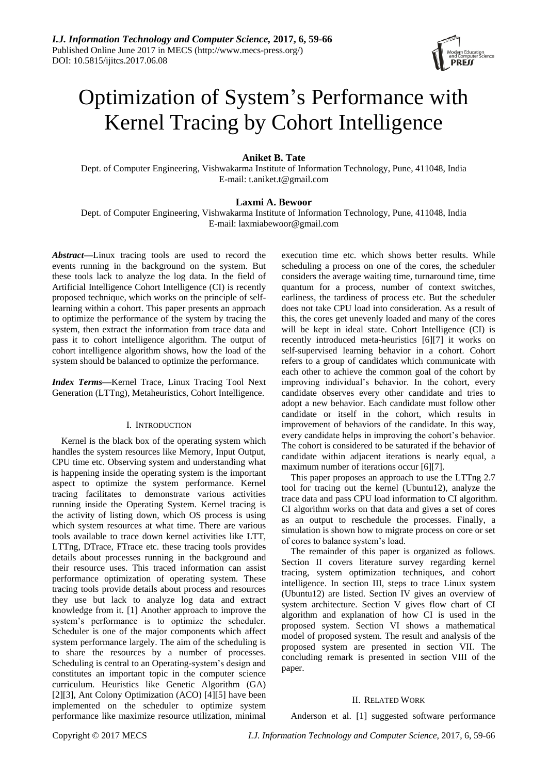

# Optimization of System's Performance with Kernel Tracing by Cohort Intelligence

**Aniket B. Tate**

Dept. of Computer Engineering, Vishwakarma Institute of Information Technology, Pune, 411048, India E-mail: t.aniket.t@gmail.com

## **Laxmi A. Bewoor**

Dept. of Computer Engineering, Vishwakarma Institute of Information Technology, Pune, 411048, India E-mail: laxmiabewoor@gmail.com

*Abstract***—**Linux tracing tools are used to record the events running in the background on the system. But these tools lack to analyze the log data. In the field of Artificial Intelligence Cohort Intelligence (CI) is recently proposed technique, which works on the principle of selflearning within a cohort. This paper presents an approach to optimize the performance of the system by tracing the system, then extract the information from trace data and pass it to cohort intelligence algorithm. The output of cohort intelligence algorithm shows, how the load of the system should be balanced to optimize the performance.

*Index Terms***—**Kernel Trace, Linux Tracing Tool Next Generation (LTTng), Metaheuristics, Cohort Intelligence.

## I. INTRODUCTION

Kernel is the black box of the operating system which handles the system resources like Memory, Input Output, CPU time etc. Observing system and understanding what is happening inside the operating system is the important aspect to optimize the system performance. Kernel tracing facilitates to demonstrate various activities running inside the Operating System. Kernel tracing is the activity of listing down, which OS process is using which system resources at what time. There are various tools available to trace down kernel activities like LTT, LTTng, DTrace, FTrace etc. these tracing tools provides details about processes running in the background and their resource uses. This traced information can assist performance optimization of operating system. These tracing tools provide details about process and resources they use but lack to analyze log data and extract knowledge from it. [1] Another approach to improve the system's performance is to optimize the scheduler. Scheduler is one of the major components which affect system performance largely. The aim of the scheduling is to share the resources by a number of processes. Scheduling is central to an Operating-system's design and constitutes an important topic in the computer science curriculum. Heuristics like Genetic Algorithm (GA) [2][3], Ant Colony Optimization (ACO) [4][5] have been implemented on the scheduler to optimize system performance like maximize resource utilization, minimal execution time etc. which shows better results. While scheduling a process on one of the cores, the scheduler considers the average waiting time, turnaround time, time quantum for a process, number of context switches, earliness, the tardiness of process etc. But the scheduler does not take CPU load into consideration. As a result of this, the cores get unevenly loaded and many of the cores will be kept in ideal state. Cohort Intelligence (CI) is recently introduced meta-heuristics [6][7] it works on self-supervised learning behavior in a cohort. Cohort refers to a group of candidates which communicate with each other to achieve the common goal of the cohort by improving individual's behavior. In the cohort, every candidate observes every other candidate and tries to adopt a new behavior. Each candidate must follow other candidate or itself in the cohort, which results in improvement of behaviors of the candidate. In this way, every candidate helps in improving the cohort's behavior. The cohort is considered to be saturated if the behavior of candidate within adjacent iterations is nearly equal, a maximum number of iterations occur [6][7].

This paper proposes an approach to use the LTTng 2.7 tool for tracing out the kernel (Ubuntu12), analyze the trace data and pass CPU load information to CI algorithm. CI algorithm works on that data and gives a set of cores as an output to reschedule the processes. Finally, a simulation is shown how to migrate process on core or set of cores to balance system's load.

The remainder of this paper is organized as follows. Section II covers literature survey regarding kernel tracing, system optimization techniques, and cohort intelligence. In section III, steps to trace Linux system (Ubuntu12) are listed. Section IV gives an overview of system architecture. Section V gives flow chart of CI algorithm and explanation of how CI is used in the proposed system. Section VI shows a mathematical model of proposed system. The result and analysis of the proposed system are presented in section VII. The concluding remark is presented in section VIII of the paper.

## II. RELATED WORK

Anderson et al. [1] suggested software performance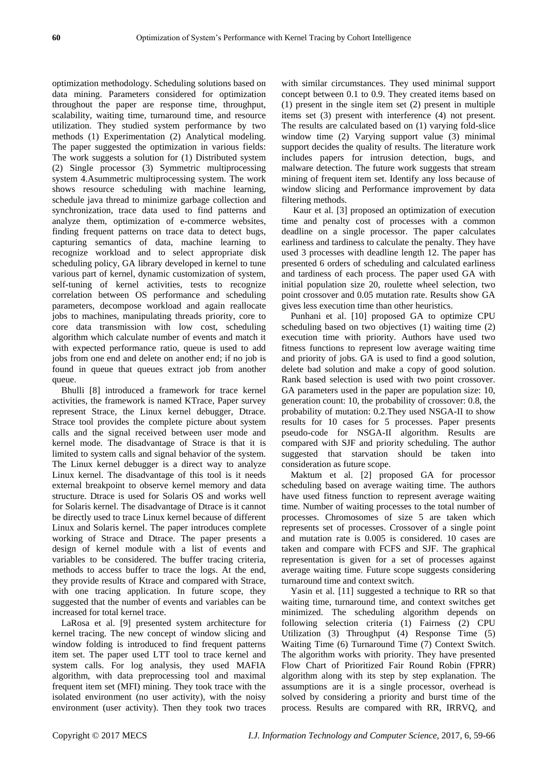optimization methodology. Scheduling solutions based on data mining. Parameters considered for optimization throughout the paper are response time, throughput, scalability, waiting time, turnaround time, and resource utilization. They studied system performance by two methods (1) Experimentation (2) Analytical modeling. The paper suggested the optimization in various fields: The work suggests a solution for (1) Distributed system (2) Single processor (3) Symmetric multiprocessing system 4.Asummetric multiprocessing system. The work shows resource scheduling with machine learning, schedule java thread to minimize garbage collection and synchronization, trace data used to find patterns and analyze them, optimization of e-commerce websites, finding frequent patterns on trace data to detect bugs, capturing semantics of data, machine learning to recognize workload and to select appropriate disk scheduling policy, GA library developed in kernel to tune various part of kernel, dynamic customization of system, self-tuning of kernel activities, tests to recognize correlation between OS performance and scheduling parameters, decompose workload and again reallocate jobs to machines, manipulating threads priority, core to core data transmission with low cost, scheduling algorithm which calculate number of events and match it with expected performance ratio, queue is used to add jobs from one end and delete on another end; if no job is found in queue that queues extract job from another queue.

Bhulli [8] introduced a framework for trace kernel activities, the framework is named KTrace, Paper survey represent Strace, the Linux kernel debugger, Dtrace. Strace tool provides the complete picture about system calls and the signal received between user mode and kernel mode. The disadvantage of Strace is that it is limited to system calls and signal behavior of the system. The Linux kernel debugger is a direct way to analyze Linux kernel. The disadvantage of this tool is it needs external breakpoint to observe kernel memory and data structure. Dtrace is used for Solaris OS and works well for Solaris kernel. The disadvantage of Dtrace is it cannot be directly used to trace Linux kernel because of different Linux and Solaris kernel. The paper introduces complete working of Strace and Dtrace. The paper presents a design of kernel module with a list of events and variables to be considered. The buffer tracing criteria, methods to access buffer to trace the logs. At the end, they provide results of Ktrace and compared with Strace, with one tracing application. In future scope, they suggested that the number of events and variables can be increased for total kernel trace.

LaRosa et al. [9] presented system architecture for kernel tracing. The new concept of window slicing and window folding is introduced to find frequent patterns item set. The paper used LTT tool to trace kernel and system calls. For log analysis, they used MAFIA algorithm, with data preprocessing tool and maximal frequent item set (MFI) mining. They took trace with the isolated environment (no user activity), with the noisy environment (user activity). Then they took two traces

with similar circumstances. They used minimal support concept between 0.1 to 0.9. They created items based on (1) present in the single item set (2) present in multiple items set (3) present with interference (4) not present. The results are calculated based on (1) varying fold-slice window time (2) Varying support value (3) minimal support decides the quality of results. The literature work includes papers for intrusion detection, bugs, and malware detection. The future work suggests that stream mining of frequent item set. Identify any loss because of window slicing and Performance improvement by data filtering methods.

Kaur et al. [3] proposed an optimization of execution time and penalty cost of processes with a common deadline on a single processor. The paper calculates earliness and tardiness to calculate the penalty. They have used 3 processes with deadline length 12. The paper has presented 6 orders of scheduling and calculated earliness and tardiness of each process. The paper used GA with initial population size 20, roulette wheel selection, two point crossover and 0.05 mutation rate. Results show GA gives less execution time than other heuristics.

Punhani et al. [10] proposed GA to optimize CPU scheduling based on two objectives (1) waiting time (2) execution time with priority. Authors have used two fitness functions to represent low average waiting time and priority of jobs. GA is used to find a good solution, delete bad solution and make a copy of good solution. Rank based selection is used with two point crossover. GA parameters used in the paper are population size: 10, generation count: 10, the probability of crossover: 0.8, the probability of mutation: 0.2.They used NSGA-II to show results for 10 cases for 5 processes. Paper presents pseudo-code for NSGA-II algorithm. Results are compared with SJF and priority scheduling. The author suggested that starvation should be taken into consideration as future scope.

Maktum et al. [2] proposed GA for processor scheduling based on average waiting time. The authors have used fitness function to represent average waiting time. Number of waiting processes to the total number of processes. Chromosomes of size 5 are taken which represents set of processes. Crossover of a single point and mutation rate is 0.005 is considered. 10 cases are taken and compare with FCFS and SJF. The graphical representation is given for a set of processes against average waiting time. Future scope suggests considering turnaround time and context switch.

Yasin et al. [11] suggested a technique to RR so that waiting time, turnaround time, and context switches get minimized. The scheduling algorithm depends on following selection criteria (1) Fairness (2) CPU Utilization (3) Throughput (4) Response Time (5) Waiting Time (6) Turnaround Time (7) Context Switch. The algorithm works with priority. They have presented Flow Chart of Prioritized Fair Round Robin (FPRR) algorithm along with its step by step explanation. The assumptions are it is a single processor, overhead is solved by considering a priority and burst time of the process. Results are compared with RR, IRRVQ, and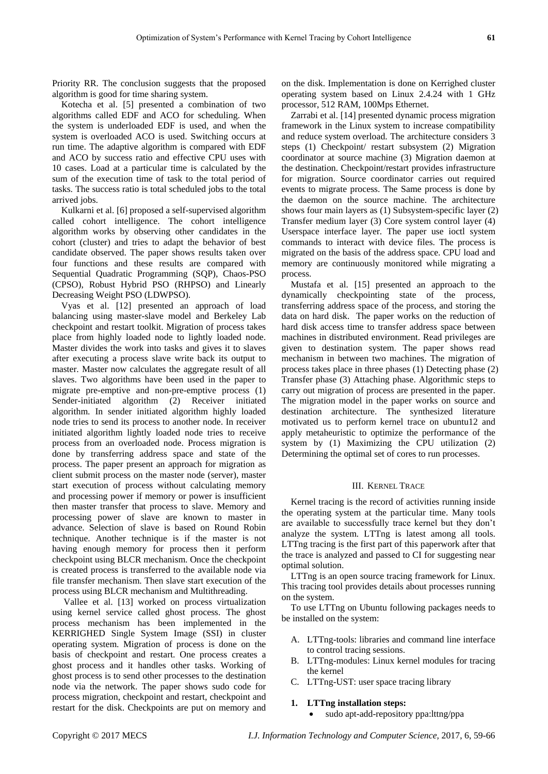Priority RR. The conclusion suggests that the proposed algorithm is good for time sharing system.

Kotecha et al. [5] presented a combination of two algorithms called EDF and ACO for scheduling. When the system is underloaded EDF is used, and when the system is overloaded ACO is used. Switching occurs at run time. The adaptive algorithm is compared with EDF and ACO by success ratio and effective CPU uses with 10 cases. Load at a particular time is calculated by the sum of the execution time of task to the total period of tasks. The success ratio is total scheduled jobs to the total arrived jobs.

Kulkarni et al. [6] proposed a self-supervised algorithm called cohort intelligence. The cohort intelligence algorithm works by observing other candidates in the cohort (cluster) and tries to adapt the behavior of best candidate observed. The paper shows results taken over four functions and these results are compared with Sequential Quadratic Programming (SQP), Chaos-PSO (CPSO), Robust Hybrid PSO (RHPSO) and Linearly Decreasing Weight PSO (LDWPSO).

Vyas et al. [12] presented an approach of load balancing using master-slave model and Berkeley Lab checkpoint and restart toolkit. Migration of process takes place from highly loaded node to lightly loaded node. Master divides the work into tasks and gives it to slaves after executing a process slave write back its output to master. Master now calculates the aggregate result of all slaves. Two algorithms have been used in the paper to migrate pre-emptive and non-pre-emptive process (1) Sender-initiated algorithm (2) Receiver initiated algorithm. In sender initiated algorithm highly loaded node tries to send its process to another node. In receiver initiated algorithm lightly loaded node tries to receive process from an overloaded node. Process migration is done by transferring address space and state of the process. The paper present an approach for migration as client submit process on the master node (server), master start execution of process without calculating memory and processing power if memory or power is insufficient then master transfer that process to slave. Memory and processing power of slave are known to master in advance. Selection of slave is based on Round Robin technique. Another technique is if the master is not having enough memory for process then it perform checkpoint using BLCR mechanism. Once the checkpoint is created process is transferred to the available node via file transfer mechanism. Then slave start execution of the process using BLCR mechanism and Multithreading.

Vallee et al. [13] worked on process virtualization using kernel service called ghost process. The ghost process mechanism has been implemented in the KERRIGHED Single System Image (SSI) in cluster operating system. Migration of process is done on the basis of checkpoint and restart. One process creates a ghost process and it handles other tasks. Working of ghost process is to send other processes to the destination node via the network. The paper shows sudo code for process migration, checkpoint and restart, checkpoint and restart for the disk. Checkpoints are put on memory and on the disk. Implementation is done on Kerrighed cluster operating system based on Linux 2.4.24 with 1 GHz processor, 512 RAM, 100Mps Ethernet.

Zarrabi et al. [14] presented dynamic process migration framework in the Linux system to increase compatibility and reduce system overload. The architecture considers 3 steps (1) Checkpoint/ restart subsystem (2) Migration coordinator at source machine (3) Migration daemon at the destination. Checkpoint/restart provides infrastructure for migration. Source coordinator carries out required events to migrate process. The Same process is done by the daemon on the source machine. The architecture shows four main layers as (1) Subsystem-specific layer (2) Transfer medium layer (3) Core system control layer (4) Userspace interface layer. The paper use ioctl system commands to interact with device files. The process is migrated on the basis of the address space. CPU load and memory are continuously monitored while migrating a process.

Mustafa et al. [15] presented an approach to the dynamically checkpointing state of the process, transferring address space of the process, and storing the data on hard disk. The paper works on the reduction of hard disk access time to transfer address space between machines in distributed environment. Read privileges are given to destination system. The paper shows read mechanism in between two machines. The migration of process takes place in three phases (1) Detecting phase (2) Transfer phase (3) Attaching phase. Algorithmic steps to carry out migration of process are presented in the paper. The migration model in the paper works on source and destination architecture. The synthesized literature motivated us to perform kernel trace on ubuntu12 and apply metaheuristic to optimize the performance of the system by (1) Maximizing the CPU utilization (2) Determining the optimal set of cores to run processes.

## III. KERNEL TRACE

Kernel tracing is the record of activities running inside the operating system at the particular time. Many tools are available to successfully trace kernel but they don't analyze the system. LTTng is latest among all tools. LTTng tracing is the first part of this paperwork after that the trace is analyzed and passed to CI for suggesting near optimal solution.

LTTng is an open source tracing framework for Linux. This tracing tool provides details about processes running on the system.

To use LTTng on Ubuntu following packages needs to be installed on the system:

- A. LTTng-tools: libraries and command line interface to control tracing sessions.
- B. LTTng-modules: Linux kernel modules for tracing the kernel
- C. LTTng-UST: user space tracing library

#### **1. LTTng installation steps:**

sudo apt-add-repository ppa:lttng/ppa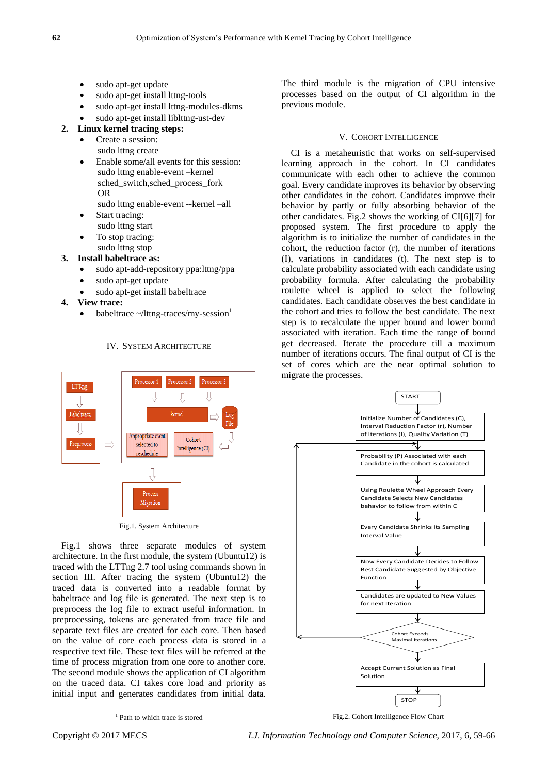- sudo apt-get update
- sudo apt-get install lttng-tools
- sudo apt-get install lttng-modules-dkms
- sudo apt-get install liblttng-ust-dev

## **2. Linux kernel tracing steps:**

- Create a session:
- sudo lttng create Enable some/all events for this session: sudo lttng enable-event –kernel sched\_switch,sched\_process\_fork
- OR sudo lttng enable-event --kernel –all
- Start tracing: sudo lttng start
- To stop tracing: sudo lttng stop
- **3. Install babeltrace as:**
	- sudo apt-add-repository ppa:lttng/ppa
	- sudo apt-get update
	- sudo apt-get install babeltrace
- **4. View trace:**
	- babeltrace  $\sim$ /lttng-traces/my-session<sup>1</sup>



IV. SYSTEM ARCHITECTURE

Fig.1. System Architecture

Fig.1 shows three separate modules of system architecture. In the first module, the system (Ubuntu12) is traced with the LTTng 2.7 tool using commands shown in section III. After tracing the system (Ubuntu12) the traced data is converted into a readable format by babeltrace and log file is generated. The next step is to preprocess the log file to extract useful information. In preprocessing, tokens are generated from trace file and separate text files are created for each core. Then based on the value of core each process data is stored in a respective text file. These text files will be referred at the time of process migration from one core to another core. The second module shows the application of CI algorithm on the traced data. CI takes core load and priority as initial input and generates candidates from initial data.

<sup>1</sup> Path to which trace is stored

The third module is the migration of CPU intensive processes based on the output of CI algorithm in the previous module.

## V. COHORT INTELLIGENCE

CI is a metaheuristic that works on self-supervised learning approach in the cohort. In CI candidates communicate with each other to achieve the common goal. Every candidate improves its behavior by observing other candidates in the cohort. Candidates improve their behavior by partly or fully absorbing behavior of the other candidates. Fig.2 shows the working of CI[6][7] for proposed system. The first procedure to apply the algorithm is to initialize the number of candidates in the cohort, the reduction factor (r), the number of iterations (I), variations in candidates (t). The next step is to calculate probability associated with each candidate using probability formula. After calculating the probability roulette wheel is applied to select the following candidates. Each candidate observes the best candidate in the cohort and tries to follow the best candidate. The next step is to recalculate the upper bound and lower bound associated with iteration. Each time the range of bound get decreased. Iterate the procedure till a maximum number of iterations occurs. The final output of CI is the set of cores which are the near optimal solution to migrate the processes.





-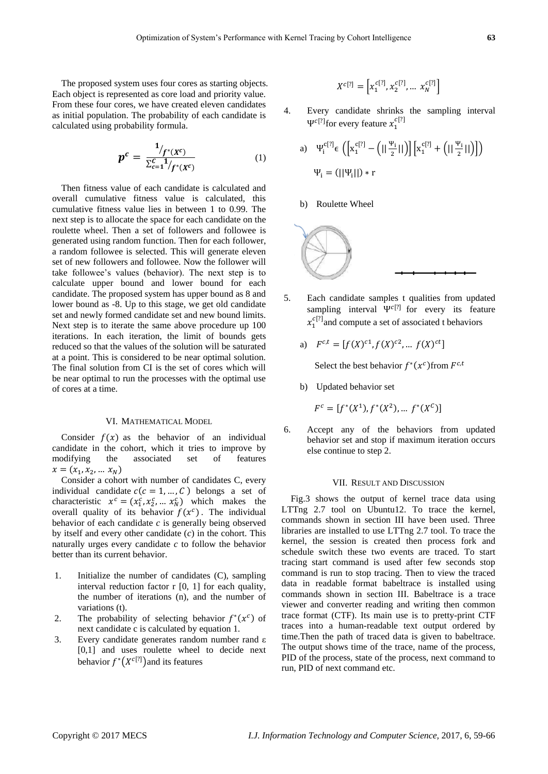The proposed system uses four cores as starting objects. Each object is represented as core load and priority value. From these four cores, we have created eleven candidates as initial population. The probability of each candidate is calculated using probability formula.

$$
p^{c} = \frac{1_{f^{*}(X^{c})}}{\sum_{c=1}^{C} 1_{f^{*}(X^{c})}}
$$
(1)

Then fitness value of each candidate is calculated and overall cumulative fitness value is calculated, this cumulative fitness value lies in between 1 to 0.99. The next step is to allocate the space for each candidate on the roulette wheel. Then a set of followers and followee is generated using random function. Then for each follower, a random followee is selected. This will generate eleven set of new followers and followee. Now the follower will take followee's values (behavior). The next step is to calculate upper bound and lower bound for each candidate. The proposed system has upper bound as 8 and lower bound as -8. Up to this stage, we get old candidate set and newly formed candidate set and new bound limits. Next step is to iterate the same above procedure up 100 iterations. In each iteration, the limit of bounds gets reduced so that the values of the solution will be saturated at a point. This is considered to be near optimal solution. The final solution from CI is the set of cores which will be near optimal to run the processes with the optimal use of cores at a time.

## VI. MATHEMATICAL MODEL

Consider  $f(x)$  as the behavior of an individual candidate in the cohort, which it tries to improve by modifying the associated set of features  $x = (x_1, x_2, \dots x_N)$ 

Consider a cohort with number of candidates C, every individual candidate  $c(c = 1, ..., c)$  belongs a set of characteristic  $x^c = (x_1^c, x_2^c, \dots, x_N^c)$  which makes the overall quality of its behavior  $f(x^c)$ . The individual behavior of each candidate *c* is generally being observed by itself and every other candidate (*c*) in the cohort. This naturally urges every candidate *c* to follow the behavior better than its current behavior.

- 1. Initialize the number of candidates (C), sampling interval reduction factor r [0, 1] for each quality, the number of iterations (n), and the number of variations (t).
- 2. The probability of selecting behavior  $f^*(x^c)$  of next candidate c is calculated by equation 1.
- 3. Every candidate generates random number rand ε [0,1] and uses roulette wheel to decide next behavior  $f^*(X^{c[?]})$  and its features

$$
X^{c[?]} = \left[ x_1^{c[?]}, x_2^{c[?]}, \ldots\ x_N^{c[?]} \right]
$$

4. Every candidate shrinks the sampling interval  $\Psi^{c[?]}$  for every feature  $x_1^c$ 

a) 
$$
\Psi_{i}^{c[?]} \in (\left[x_{1}^{c[?]} - (\left|\left|\frac{\Psi_{i}}{2}\right|\right|\right)\left[\left|x_{1}^{c[?]} + (\left|\left|\frac{\Psi_{i}}{2}\right|\right|\right]\right])
$$
  
 $\Psi_{i} = (\left|\left|\Psi_{i}\right|\right|) * r$ 

b) Roulette Wheel



- 5. Each candidate samples t qualities from updated sampling interval  $\Psi^{c[?]}$  for every its feature  $x_1^{c[?]}$  and compute a set of associated t behaviors
	- a)  $F^{c,t} = [f(X)^{c_1}, f(X)^{c_2}, \dots, f(X)^{c_n}]$

Select the best behavior  $f^*(x^c)$  from  $F^c$ 

b) Updated behavior set

 $F^c = [f^*(X^1), f^*(X^2), \dots, f^*(X^c)]$ 

6. Accept any of the behaviors from updated behavior set and stop if maximum iteration occurs else continue to step 2.

### VII. RESULT AND DISCUSSION

Fig.3 shows the output of kernel trace data using LTTng 2.7 tool on Ubuntu12. To trace the kernel, commands shown in section III have been used. Three libraries are installed to use LTTng 2.7 tool. To trace the kernel, the session is created then process fork and schedule switch these two events are traced. To start tracing start command is used after few seconds stop command is run to stop tracing. Then to view the traced data in readable format babeltrace is installed using commands shown in section III. Babeltrace is a trace viewer and converter reading and writing then common trace format (CTF). Its main use is to pretty-print CTF traces into a human-readable text output ordered by time.Then the path of traced data is given to babeltrace. The output shows time of the trace, name of the process, PID of the process, state of the process, next command to run, PID of next command etc.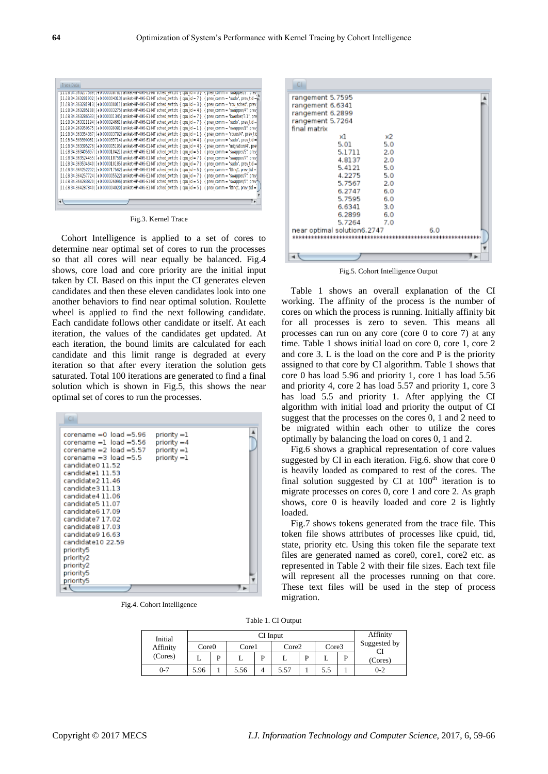| Trace Data                                                                                                                                                                                                                                        |
|---------------------------------------------------------------------------------------------------------------------------------------------------------------------------------------------------------------------------------------------------|
| T1:118:34.363277389JT+0.0000087817aHKet+HP-406-61-MT stried_switch: { tpu_id = 3 }, { prev_comm = swapper/s , prev_<br>[11:18:34.363281902] (+0.000004313) aniket+HP-406-61-MT sched_switch: { cpu_id = 7 }, { prev_comm = "sudo                  |
| [11:18:34.363281913] (+0.000000011) aniket-HP-406-G1-MT sched switch: { cpu id = 3 }, { prev comm = "rcu sched", prev                                                                                                                             |
| (11:18:34.363285188) (+0.000003275) aniket-HP-406-G1-MT sched switch: { cpu id = 4 }, { prev comm = "swapper/4", prev                                                                                                                             |
| 111:18:34.3632865331 (+0.000001345) aniket HP-406-G1-MT sched_switch: { cpu id = 7 }, { prev_comm = "kworker/7:1", pre                                                                                                                            |
| [11:18:34.363311194] (+0.000024661) aniket-HP-406-G1-MT sched switch: { cpu id = 7 }, { prev comm = "sudo", prev tid =                                                                                                                            |
| [11:18:34.363350575] (+0.000039381) aniket-HP-406-G1-MT sched_switch: { cpu id = 1 }, { prev_comm = "swapper/1", prev<br>[11:18:34.363354367] (+0.000003792) aniket HP-406-G1-MT sched switch: { cpu id = 1 }, { prev comm = "rcuos/4" prev tid   |
| [11:18:34.363390081] (+0.000035714) aniket HP-406-61-MT sched_switch: { cpu_id = 4 }, { prev_comm = "sudo", prev_tid =                                                                                                                            |
| [11:18:34.363395276] (+0.000005195) aniket HP-406-G1-MT sched switch: { cpu id = 4 }, { prev comm = "migration/4", pre                                                                                                                            |
| [11:18:34.363405697] (+0.000010421) aniket HP-406-G1 MT sched switch: { cpu id = 5 }, { prev comm = "swapper/5", prev                                                                                                                             |
| [11:18:34.363524455] (+0.000118758) aniket-HP-406-G1-MT sched switch: { cpu id = 7 }, { prev comm = "swapper/7", prev                                                                                                                             |
| [11:18:34.363534640] (+0.000010185) aniket HP-406-G1-MT sched_switch: { cpu_id = 7 }, { prev_comm = "sudo", prev_tid =<br>111:18:34.3642522021 (+0.000717562) aniket HP-406-G1-MT sched switch: { cpu id = 5 }, { prev comm = "lttng", prev tid = |
| [11:18:34.364257724] (+0.000005522) aniket-HP-406-G1-MT sched switch: { cpu id = 7 }, { prev comm = "swapper/7", prev                                                                                                                             |
| (11:18:34.364283820) (+0.000026096) aniket-HP-406-G1-MT sched switch: { cpu  d = 5 }, { prev comm = "swapper/5", prev"                                                                                                                            |
| 111:18:34.364287840 (+0.000004020) aniket HP-406-G1-MT sched switch: { cpu d = 5 }, { prev comm = "lttng", prev tid =                                                                                                                             |
|                                                                                                                                                                                                                                                   |
|                                                                                                                                                                                                                                                   |
|                                                                                                                                                                                                                                                   |

Fig.3. Kernel Trace

Cohort Intelligence is applied to a set of cores to determine near optimal set of cores to run the processes so that all cores will near equally be balanced. Fig.4 shows, core load and core priority are the initial input taken by CI. Based on this input the CI generates eleven candidates and then these eleven candidates look into one another behaviors to find near optimal solution. Roulette wheel is applied to find the next following candidate. Each candidate follows other candidate or itself. At each iteration, the values of the candidates get updated. At each iteration, the bound limits are calculated for each candidate and this limit range is degraded at every iteration so that after every iteration the solution gets saturated. Total 100 iterations are generated to find a final solution which is shown in Fig.5, this shows the near optimal set of cores to run the processes.

| CI                                                                                                                                                                                                                                                                                                                                                                                                                 |                                                             |  |
|--------------------------------------------------------------------------------------------------------------------------------------------------------------------------------------------------------------------------------------------------------------------------------------------------------------------------------------------------------------------------------------------------------------------|-------------------------------------------------------------|--|
| corename $-0$ load $-5.96$<br>corename $-1$ $load -5.56$<br>corename $=2$ load $=5.57$<br>corename $=3$ load $=5.5$<br>candidate0 11.52<br>candidate1 11.53<br>candidate2 11.46<br>candidate3 11.13<br>candidate4 11.06<br>candidate5 11.07<br>candidate6 17.09<br>candidate 7 17.02<br>candidate8 17.03<br>candidate9 16.63<br>candidate10 22.59<br>priority5<br>priority2<br>priority2<br>priority5<br>priority5 | priority =1<br>priority =4<br>$priority = 1$<br>priority =1 |  |
|                                                                                                                                                                                                                                                                                                                                                                                                                    |                                                             |  |

Fig.4. Cohort Intelligence

| rangement 5.7595                                                                                              |  |
|---------------------------------------------------------------------------------------------------------------|--|
| rangement 6.6341                                                                                              |  |
| rangement 6.2899                                                                                              |  |
| rangement 5.7264                                                                                              |  |
| final matrix                                                                                                  |  |
| жl<br>x2                                                                                                      |  |
| 5.01<br>5.0                                                                                                   |  |
| 5.1711<br>2.0                                                                                                 |  |
| 2.0<br>4.8137                                                                                                 |  |
| 5.0<br>5.4121                                                                                                 |  |
| 5.0<br>4.2275                                                                                                 |  |
| 5.7567<br>2.0                                                                                                 |  |
| 6.2747<br>6.0                                                                                                 |  |
| 6.0<br>5.7595                                                                                                 |  |
| 6.6341<br>3.0                                                                                                 |  |
| 6.0<br>6.2899                                                                                                 |  |
| 5.7264<br>7.0                                                                                                 |  |
| near optimal solution6.2747<br>6.0                                                                            |  |
| a adoleha a adoleha a adoleha adoleha adoleha a bideka a bata adoleha adoleha adoleha adoleha adoleha a adole |  |
|                                                                                                               |  |
|                                                                                                               |  |

Fig.5. Cohort Intelligence Output

Table 1 shows an overall explanation of the CI working. The affinity of the process is the number of cores on which the process is running. Initially affinity bit for all processes is zero to seven. This means all processes can run on any core (core 0 to core 7) at any time. Table 1 shows initial load on core 0, core 1, core 2 and core 3. L is the load on the core and P is the priority assigned to that core by CI algorithm. Table 1 shows that core 0 has load 5.96 and priority 1, core 1 has load 5.56 and priority 4, core 2 has load 5.57 and priority 1, core 3 has load 5.5 and priority 1. After applying the CI algorithm with initial load and priority the output of CI suggest that the processes on the cores 0, 1 and 2 need to be migrated within each other to utilize the cores optimally by balancing the load on cores 0, 1 and 2.

Fig.6 shows a graphical representation of core values suggested by CI in each iteration. Fig.6. show that core 0 is heavily loaded as compared to rest of the cores. The final solution suggested by CI at  $100<sup>th</sup>$  iteration is to migrate processes on cores 0, core 1 and core 2. As graph shows, core 0 is heavily loaded and core 2 is lightly loaded.

Fig.7 shows tokens generated from the trace file. This token file shows attributes of processes like cpuid, tid, state, priority etc. Using this token file the separate text files are generated named as core0, core1, core2 etc. as represented in Table 2 with their file sizes. Each text file will represent all the processes running on that core. These text files will be used in the step of process migration.

Table 1. CI Output

| Initial  | CI Input          |   |       |   |       |   |       | Affinity |              |
|----------|-------------------|---|-------|---|-------|---|-------|----------|--------------|
| Affinity | Core <sub>0</sub> |   | Core1 |   | Core2 |   | Core3 |          | Suggested by |
| (Cores)  | . .               | D | ∸     | D |       | D |       |          | (Cores)      |
| $0 - 7$  | 5.96              |   | 5.56  |   | 5.57  |   |       |          | $0 - 2$      |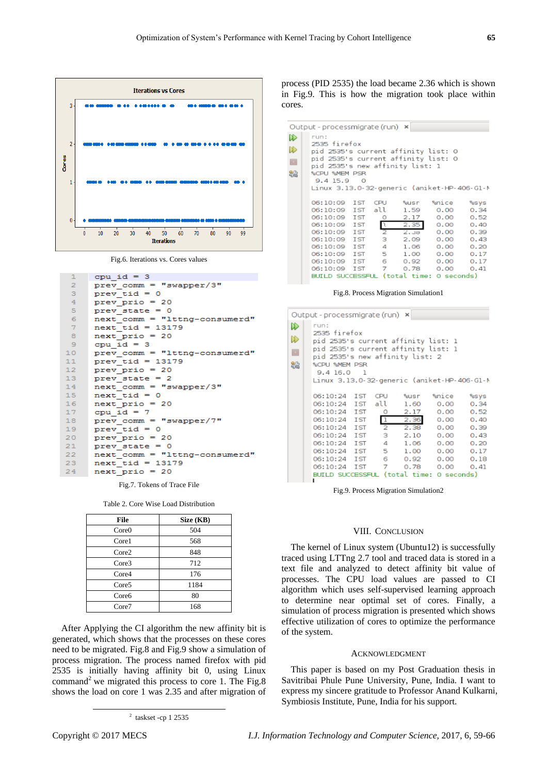

Fig.6. Iterations vs. Cores values

| ı               | $cpu$ id = 3                  |
|-----------------|-------------------------------|
| 2               | $prev$ comm = "swapper/3"     |
| з               | prev tid = $0$                |
| $\overline{4}$  | $prev$ prio = 20              |
| 5               | $prev state = 0$              |
| 6               | next comm = "lttng-consumerd" |
| 7               | $next$ tid = 13179            |
| 8               | $next$ prio = 20              |
| 9               | $cpu$ id = 3                  |
| 10              | prev comm = "lttng-consumerd" |
| 11              | prev tid = $13179$            |
| 12 <sub>1</sub> | $prev$ prio = 20              |
| 13              | $prev state = 2$              |
| 14              | $next comm = "swapper/3"$     |
| 15              | $next$ tid = 0                |
| 16              | $next$ prio = 20              |
| 17              | cpu id = $7$                  |
| 18              | $prev$ comm = "swapper/7"     |
| 19              | $prev\_tid = 0$               |
| 20              | $prev$ prio = 20              |
| 21              | $prev$ state = 0              |
| 22              | next comm = "lttng-consumerd" |
| 23              | $next$ tid = 13179            |
| 24              | $next\_prio = 20$             |
|                 |                               |

Fig.7. Tokens of Trace File

Table 2. Core Wise Load Distribution

| File              | Size (KB) |
|-------------------|-----------|
| Core <sub>0</sub> | 504       |
| Core1             | 568       |
| Core2             | 848       |
| Core3             | 712       |
| Core4             | 176       |
| Core <sub>5</sub> | 1184      |
| Core <sub>6</sub> | 80        |
| Core7             | 168       |

After Applying the CI algorithm the new affinity bit is generated, which shows that the processes on these cores need to be migrated. Fig.8 and Fig.9 show a simulation of process migration. The process named firefox with pid 2535 is initially having affinity bit 0, using Linux command<sup>2</sup> we migrated this process to core 1. The Fig.8 shows the load on core 1 was 2.35 and after migration of process (PID 2535) the load became 2.36 which is shown in Fig.9. This is how the migration took place within cores.

|        | Output - processmigrate (run) × |                                                                        |                         |      |                                          |      |  |  |  |  |
|--------|---------------------------------|------------------------------------------------------------------------|-------------------------|------|------------------------------------------|------|--|--|--|--|
| 1≫     | run:                            |                                                                        |                         |      |                                          |      |  |  |  |  |
| D      |                                 | 2535 firefox                                                           |                         |      |                                          |      |  |  |  |  |
|        |                                 | pid 2535's current affinity list: 0                                    |                         |      |                                          |      |  |  |  |  |
| $\Box$ |                                 | pid 2535's current affinity list: 0<br>pid 2535's new affinity list: 1 |                         |      |                                          |      |  |  |  |  |
| 82     |                                 | %CPU %MEM PSR                                                          |                         |      |                                          |      |  |  |  |  |
|        |                                 | 9.4 15.9<br>$\circ$                                                    |                         |      |                                          |      |  |  |  |  |
|        |                                 | Linux 3.13.0-32-generic (aniket-HP-406-Gl-M                            |                         |      |                                          |      |  |  |  |  |
|        |                                 |                                                                        |                         |      |                                          |      |  |  |  |  |
|        | 06:10:09 IST                    |                                                                        | CPU                     | %usr | %nice                                    | %SVS |  |  |  |  |
|        | 06:10:09 IST all                |                                                                        |                         | 1.59 | 0.00                                     | 0.34 |  |  |  |  |
|        | 06:10:09 IST                    |                                                                        | O                       | 2.17 | 0.00                                     | 0.52 |  |  |  |  |
|        | 06:10:09 IST                    |                                                                        | $\frac{1}{2}$           | 2.35 | 0.00                                     | 0.40 |  |  |  |  |
|        | 06:10:09 IST                    |                                                                        |                         | 2.38 | 0.00                                     | 0.39 |  |  |  |  |
|        | 06:10:09 IST                    |                                                                        | $\overline{\mathbf{3}}$ | 2.09 | $\odot$ . $\odot$ $\odot$                | 0.43 |  |  |  |  |
|        | 06:10:09 IST                    |                                                                        | $\sim$ 4                | 1.06 | $\odot$ . $\odot$ $\odot$                | 0.20 |  |  |  |  |
|        | 06:10:09 IST                    |                                                                        | $-5$                    | 1.00 | 0.00                                     | 0.17 |  |  |  |  |
|        | 06:10:09 IST                    |                                                                        | 6.                      | 0.92 | 0.00                                     | 0.17 |  |  |  |  |
|        | 06:10:09 IST                    |                                                                        | $\sim$ 7                | 0.78 | 0.00                                     | 0.41 |  |  |  |  |
|        |                                 |                                                                        |                         |      | BUILD SUCCESSFUL (total time: 0 seconds) |      |  |  |  |  |

Fig.8. Process Migration Simulation1

| Output - processmigrate (run) × |  |                                                                        |            |                |      |                                          |      |  |  |  |
|---------------------------------|--|------------------------------------------------------------------------|------------|----------------|------|------------------------------------------|------|--|--|--|
| 1≫                              |  | run:                                                                   |            |                |      |                                          |      |  |  |  |
| D                               |  | 2535 firefox<br>pid 2535's current affinity list: 1                    |            |                |      |                                          |      |  |  |  |
| $\Box$                          |  | pid 2535's current affinity list: 1<br>pid 2535's new affinity list: 2 |            |                |      |                                          |      |  |  |  |
| 骼                               |  | %CPU %MEM PSR                                                          |            |                |      |                                          |      |  |  |  |
|                                 |  | 9.416.0<br>$\mathbf{1}$                                                |            |                |      |                                          |      |  |  |  |
|                                 |  | Linux 3.13.0-32-generic (aniket-HP-406-Gl-M                            |            |                |      |                                          |      |  |  |  |
|                                 |  | 06:10:24 IST                                                           |            | <b>CPU</b>     | %usr | %nice                                    | %SVS |  |  |  |
|                                 |  | 06:10:24 IST                                                           |            | all            | 1.60 | 0.00                                     | 0.34 |  |  |  |
|                                 |  | 06:10:24 IST                                                           |            | O              | 2.17 | 0.00                                     | 0.52 |  |  |  |
|                                 |  | 06:10:24 IST                                                           |            | $\Box$         | 2.36 | O. O O                                   | 0.40 |  |  |  |
|                                 |  | 06:10:24                                                               | <b>TST</b> | $\overline{z}$ | 2.38 | 0.00                                     | 0.39 |  |  |  |
|                                 |  | 06:10:24 IST 3                                                         |            |                | 2.10 | 0.00                                     | 0.43 |  |  |  |
|                                 |  | 06:10:24 IST                                                           |            | $\overline{4}$ | 1.06 | 0.00                                     | 0.20 |  |  |  |
|                                 |  | 06:10:24                                                               | IST        | $-5$           | 1.00 | 0.00                                     | 0.17 |  |  |  |
|                                 |  | 06:10:24 IST                                                           |            | $-6$           | 0.92 | 0.00                                     | 0.18 |  |  |  |
|                                 |  | 06:10:24 IST                                                           |            | 7.             |      | $0.78$ $0.00$                            | 0.41 |  |  |  |
|                                 |  |                                                                        |            |                |      | BUILD SUCCESSFUL (total time: 0 seconds) |      |  |  |  |

Fig.9. Process Migration Simulation2

#### VIII. CONCLUSION

The kernel of Linux system (Ubuntu12) is successfully traced using LTTng 2.7 tool and traced data is stored in a text file and analyzed to detect affinity bit value of processes. The CPU load values are passed to CI algorithm which uses self-supervised learning approach to determine near optimal set of cores. Finally, a simulation of process migration is presented which shows effective utilization of cores to optimize the performance of the system.

#### ACKNOWLEDGMENT

This paper is based on my Post Graduation thesis in Savitribai Phule Pune University, Pune, India. I want to express my sincere gratitude to Professor Anand Kulkarni, Symbiosis Institute, Pune, India for his support.

-

 $2$  taskset -cp 1 2535